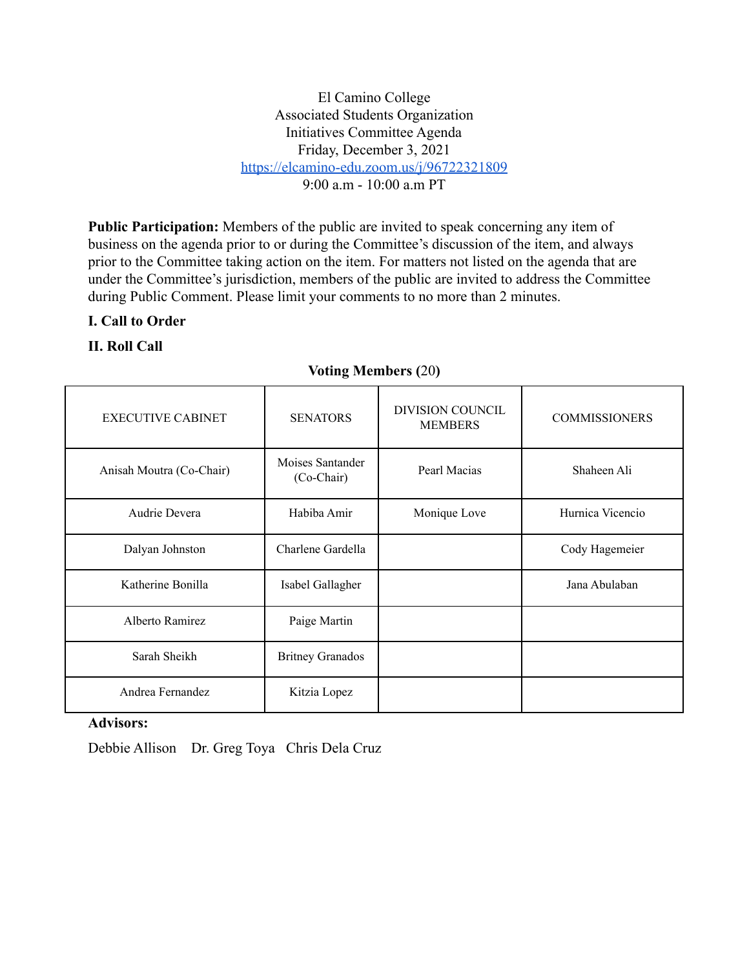El Camino College Associated Students Organization Initiatives Committee Agenda Friday, December 3, 2021 <https://elcamino-edu.zoom.us/j/96722321809>  $9.00 a m - 10.00 a m PT$ 

**Public Participation:** Members of the public are invited to speak concerning any item of business on the agenda prior to or during the Committee's discussion of the item, and always prior to the Committee taking action on the item. For matters not listed on the agenda that are under the Committee's jurisdiction, members of the public are invited to address the Committee during Public Comment. Please limit your comments to no more than 2 minutes.

## **I. Call to Order**

## **II. Roll Call**

## **Voting Members (**20**)**

| <b>EXECUTIVE CABINET</b> | <b>SENATORS</b>                | <b>DIVISION COUNCIL</b><br><b>MEMBERS</b> | <b>COMMISSIONERS</b> |
|--------------------------|--------------------------------|-------------------------------------------|----------------------|
| Anisah Moutra (Co-Chair) | Moises Santander<br>(Co-Chair) | Pearl Macias                              | Shaheen Ali          |
| Audrie Devera            | Habiba Amir                    | Monique Love                              | Hurnica Vicencio     |
| Dalyan Johnston          | Charlene Gardella              |                                           | Cody Hagemeier       |
| Katherine Bonilla        | Isabel Gallagher               |                                           | Jana Abulaban        |
| Alberto Ramirez          | Paige Martin                   |                                           |                      |
| Sarah Sheikh             | <b>Britney Granados</b>        |                                           |                      |
| Andrea Fernandez         | Kitzia Lopez                   |                                           |                      |

#### **Advisors:**

Debbie Allison Dr. Greg Toya Chris Dela Cruz